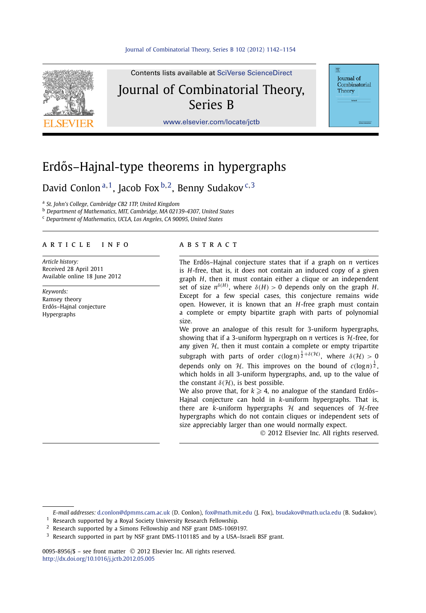

Contents lists available at [SciVerse ScienceDirect](http://www.ScienceDirect.com/) Journal of Combinatorial Theory, Series B

**Journal** of Combinatorial Theory

[www.elsevier.com/locate/jctb](http://www.elsevier.com/locate/jctb)

# Erdős–Hajnal-type theorems in hypergraphs

David Conlon <sup>a</sup>*,*1, Jacob Fox <sup>b</sup>*,*2, Benny Sudakov <sup>c</sup>*,*<sup>3</sup>

<sup>a</sup> *St. John's College, Cambridge CB2 1TP, United Kingdom*

<sup>b</sup> *Department of Mathematics, MIT, Cambridge, MA 02139-4307, United States*

<sup>c</sup> *Department of Mathematics, UCLA, Los Angeles, CA 90095, United States*

## article info abstract

*Article history:* Received 28 April 2011 Available online 18 June 2012

*Keywords:* Ramsey theory Erdős–Hajnal conjecture Hypergraphs

The Erdős–Hajnal conjecture states that if a graph on *n* vertices is *H*-free, that is, it does not contain an induced copy of a given graph *H*, then it must contain either a clique or an independent set of size  $n^{\delta(H)}$ , where  $\delta(H) > 0$  depends only on the graph *H*. Except for a few special cases, this conjecture remains wide open. However, it is known that an *H*-free graph must contain a complete or empty bipartite graph with parts of polynomial size.

We prove an analogue of this result for 3-uniform hypergraphs, showing that if a 3-uniform hypergraph on  $n$  vertices is  $H$ -free, for any given  $H$ , then it must contain a complete or empty tripartite subgraph with parts of order  $c(\log n)^{\frac{1}{2}+\delta(\mathcal{H})}$ , where  $\delta(\mathcal{H}) > 0$ depends only on H. This improves on the bound of  $c(\log n)^{\frac{1}{2}}$ , which holds in all 3-uniform hypergraphs, and, up to the value of the constant  $\delta(\mathcal{H})$ , is best possible.

We also prove that, for  $k\geqslant 4$ , no analogue of the standard Erdős– Hajnal conjecture can hold in *k*-uniform hypergraphs. That is, there are *k*-uniform hypergraphs  $H$  and sequences of  $H$ -free hypergraphs which do not contain cliques or independent sets of size appreciably larger than one would normally expect.

© 2012 Elsevier Inc. All rights reserved.

*E-mail addresses:* [d.conlon@dpmms.cam.ac.uk](mailto:d.conlon@dpmms.cam.ac.uk) (D. Conlon), [fox@math.mit.edu](mailto:fox@math.mit.edu) (J. Fox), [bsudakov@math.ucla.edu](mailto:bsudakov@math.ucla.edu) (B. Sudakov).

 $1$  Research supported by a Royal Society University Research Fellowship.

<sup>2</sup> Research supported by a Simons Fellowship and NSF grant DMS-1069197.

0095-8956/\$ – see front matter © 2012 Elsevier Inc. All rights reserved. <http://dx.doi.org/10.1016/j.jctb.2012.05.005>

<sup>&</sup>lt;sup>3</sup> Research supported in part by NSF grant DMS-1101185 and by a USA-Israeli BSF grant.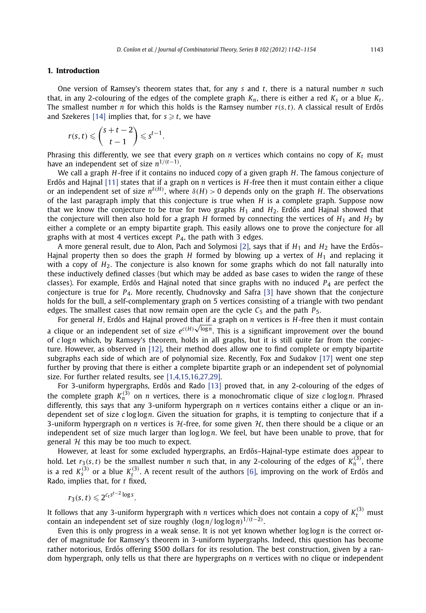#### **1. Introduction**

One version of Ramsey's theorem states that, for any *s* and *t*, there is a natural number *n* such that, in any 2-colouring of the edges of the complete graph  $K_n$ , there is either a red  $K_s$  or a blue  $K_t$ . The smallest number *n* for which this holds is the Ramsey number  $r(s, t)$ . A classical result of Erdős and Szekeres [\[14\]](#page-11-0) implies that, for  $s \geq t$ , we have

$$
r(s,t) \leqslant {s+t-2 \choose t-1} \leqslant s^{t-1}.
$$

Phrasing this differently, we see that every graph on  $n$  vertices which contains no copy of  $K_t$  must have an independent set of size *n*1*/(t*−1*)* .

We call a graph *H*-free if it contains no induced copy of a given graph *H*. The famous conjecture of Erdős and Hajnal [\[11\]](#page-11-0) states that if a graph on *n* vertices is *H*-free then it must contain either a clique or an independent set of size  $n^{\delta(H)}$ , where  $\delta(H) > 0$  depends only on the graph *H*. The observations of the last paragraph imply that this conjecture is true when *H* is a complete graph. Suppose now that we know the conjecture to be true for two graphs  $H_1$  and  $H_2$ . Erdős and Hajnal showed that the conjecture will then also hold for a graph *H* formed by connecting the vertices of  $H_1$  and  $H_2$  by either a complete or an empty bipartite graph. This easily allows one to prove the conjecture for all graphs with at most 4 vertices except *P*4, the path with 3 edges.

A more general result, due to Alon, Pach and Solymosi [\[2\],](#page-11-0) says that if  $H_1$  and  $H_2$  have the Erdős– Hajnal property then so does the graph *H* formed by blowing up a vertex of *H*<sup>1</sup> and replacing it with a copy of  $H_2$ . The conjecture is also known for some graphs which do not fall naturally into these inductively defined classes (but which may be added as base cases to widen the range of these classes). For example, Erdős and Hajnal noted that since graphs with no induced  $P_4$  are perfect the conjecture is true for *P*4. More recently, Chudnovsky and Safra [\[3\]](#page-11-0) have shown that the conjecture holds for the bull, a self-complementary graph on 5 vertices consisting of a triangle with two pendant edges. The smallest cases that now remain open are the cycle  $C_5$  and the path  $P_5$ .

For general *H*, Erdős and Hajnal proved that if a graph on *n* vertices is *H*-free then it must contain a clique or an independent set of size *ec(H)* <sup>√</sup>log*n*. This is a significant improvement over the bound of *c* log*n* which, by Ramsey's theorem, holds in all graphs, but it is still quite far from the conjecture. However, as observed in [\[12\],](#page-11-0) their method does allow one to find complete or empty bipartite subgraphs each side of which are of polynomial size. Recently, Fox and Sudakov [\[17\]](#page-11-0) went one step further by proving that there is either a complete bipartite graph or an independent set of polynomial size. For further related results, see [\[1,4,15,16,27,29\].](#page-11-0)

For 3-uniform hypergraphs, Erdős and Rado [\[13\]](#page-11-0) proved that, in any 2-colouring of the edges of the complete graph  $K_n^{(3)}$  on *n* vertices, there is a monochromatic clique of size *c* log log *n*. Phrased differently, this says that any 3-uniform hypergraph on *n* vertices contains either a clique or an independent set of size *c* log log*n*. Given the situation for graphs, it is tempting to conjecture that if a 3-uniform hypergraph on *n* vertices is H-free, for some given H, then there should be a clique or an independent set of size much larger than log log*n*. We feel, but have been unable to prove, that for general  $H$  this may be too much to expect.

However, at least for some excluded hypergraphs, an Erdős-Hajnal-type estimate does appear to hold. Let  $r_3(s,t)$  be the smallest number *n* such that, in any 2-colouring of the edges of  $K_n^{(3)}$ , there is a red  $K^{(3)}_s$  or a blue  $K^{(3)}_t$ . A recent result of the authors [\[6\],](#page-11-0) improving on the work of Erdős and Rado, implies that, for *t* fixed,

$$
r_3(s,t) \leqslant 2^{c_ts^{t-2}\log s}.
$$

It follows that any 3-uniform hypergraph with *n* vertices which does not contain a copy of  $K_t^{(3)}$  must contain an independent set of size roughly *(*log*n/* log log*n)*<sup>1</sup>*/(t*−2*)* .

Even this is only progress in a weak sense. It is not yet known whether log log*n* is the correct order of magnitude for Ramsey's theorem in 3-uniform hypergraphs. Indeed, this question has become rather notorious, Erdős offering \$500 dollars for its resolution. The best construction, given by a random hypergraph, only tells us that there are hypergraphs on *n* vertices with no clique or independent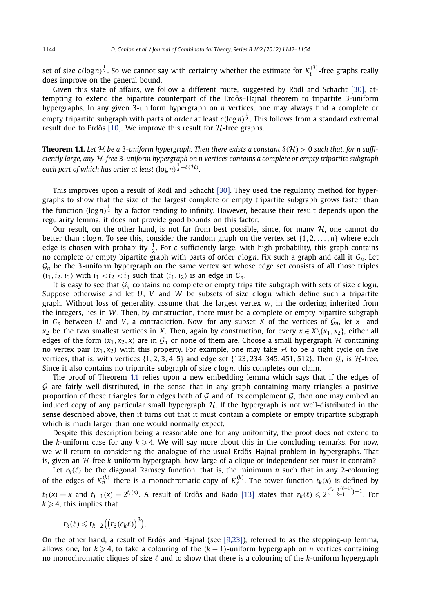<span id="page-2-0"></span>set of size  $c(\log n)^{\frac{1}{2}}$ . So we cannot say with certainty whether the estimate for  $K_t^{(3)}$ -free graphs really does improve on the general bound.

Given this state of affairs, we follow a different route, suggested by Rödl and Schacht [\[30\],](#page-12-0) attempting to extend the bipartite counterpart of the Erdős–Hainal theorem to tripartite 3-uniform hypergraphs. In any given 3-uniform hypergraph on *n* vertices, one may always find a complete or empty tripartite subgraph with parts of order at least *c(*log*n)* 1 <sup>2</sup> . This follows from a standard extremal result due to Erdős [\[10\].](#page-11-0) We improve this result for  $H$ -free graphs.

**Theorem 1.1.** Let H be a 3-uniform hypergraph. Then there exists a constant  $\delta(H) > 0$  such that, for n suffi*ciently large, any* H*-free* 3*-uniform hypergraph on n vertices contains a complete or empty tripartite subgraph* each part of which has order at least  $(\log n)^{\frac{1}{2}+\delta(\mathcal{H})}.$ 

This improves upon a result of Rödl and Schacht [\[30\].](#page-12-0) They used the regularity method for hypergraphs to show that the size of the largest complete or empty tripartite subgraph grows faster than the function (log*n*)<sup>1</sup> by a factor tending to infinity. However, because their result depends upon the regularity lemma, it does not provide good bounds on this factor.

Our result, on the other hand, is not far from best possible, since, for many  $H$ , one cannot do better than *c* log*n*. To see this, consider the random graph on the vertex set {1*,* 2*,...,n*} where each edge is chosen with probability  $\frac{1}{2}$ . For *c* sufficiently large, with high probability, this graph contains no complete or empty bipartite graph with parts of order *c* log*n*. Fix such a graph and call it *Gn*. Let  $\mathcal{G}_n$  be the 3-uniform hypergraph on the same vertex set whose edge set consists of all those triples  $(i_1, i_2, i_3)$  with  $i_1 < i_2 < i_3$  such that  $(i_1, i_2)$  is an edge in  $G_n$ .

It is easy to see that  $G_n$  contains no complete or empty tripartite subgraph with sets of size  $c \log n$ . Suppose otherwise and let *U*, *V* and *W* be subsets of size *c* log*n* which define such a tripartite graph. Without loss of generality, assume that the largest vertex *w*, in the ordering inherited from the integers, lies in *W* . Then, by construction, there must be a complete or empty bipartite subgraph in  $G_n$  between *U* and *V*, a contradiction. Now, for any subset *X* of the vertices of  $G_n$ , let  $x_1$  and *x*<sub>2</sub> be the two smallest vertices in *X*. Then, again by construction, for every  $x \in X \setminus \{x_1, x_2\}$ , either all edges of the form  $(x_1, x_2, x)$  are in  $\mathcal{G}_n$  or none of them are. Choose a small hypergraph H containing no vertex pair  $(x_1, x_2)$  with this property. For example, one may take H to be a tight cycle on five vertices, that is, with vertices  $\{1, 2, 3, 4, 5\}$  and edge set  $\{123, 234, 345, 451, 512\}$ . Then  $\mathcal{G}_n$  is  $\mathcal{H}\text{-free}$ . Since it also contains no tripartite subgraph of size *c* log*n*, this completes our claim.

The proof of Theorem 1.1 relies upon a new embedding lemma which says that if the edges of  $G$  are fairly well-distributed, in the sense that in any graph containing many triangles a positive proportion of these triangles form edges both of G and of its complement  $\overline{G}$ , then one may embed an induced copy of any particular small hypergraph  $H$ . If the hypergraph is not well-distributed in the sense described above, then it turns out that it must contain a complete or empty tripartite subgraph which is much larger than one would normally expect.

Despite this description being a reasonable one for any uniformity, the proof does not extend to the *k*-uniform case for any  $k \geqslant 4.$  We will say more about this in the concluding remarks. For now, we will return to considering the analogue of the usual Erdős–Hajnal problem in hypergraphs. That is, given an  $H$ -free  $k$ -uniform hypergraph, how large of a clique or independent set must it contain?

Let  $r_k(\ell)$  be the diagonal Ramsey function, that is, the minimum *n* such that in any 2-colouring of the edges of  $K_n^{(k)}$  there is a monochromatic copy of  $K_{\ell}^{(k)}$ . The tower function  $t_k(x)$  is defined by  $t_1(x) = x$  and  $t_{i+1}(x) = 2^{t_i(x)}$ . A result of Erdős and Rado [\[13\]](#page-11-0) states that  $r_k(\ell) \leqslant 2^{\binom{r_{k-1}(\ell-1)}{k-1}+1}$ . For  $k \geqslant 4$ , this implies that

$$
r_k(\ell) \leq t_{k-2} \big( \big( r_3(c_k \ell) \big)^3 \big).
$$

On the other hand, a result of Erdős and Hajnal (see  $[9,23]$ ), referred to as the stepping-up lemma, allows one, for  $k \geqslant 4$ , to take a colouring of the  $(k-1)$ -uniform hypergraph on *n* vertices containing no monochromatic cliques of size  $\ell$  and to show that there is a colouring of the  $k$ -uniform hypergraph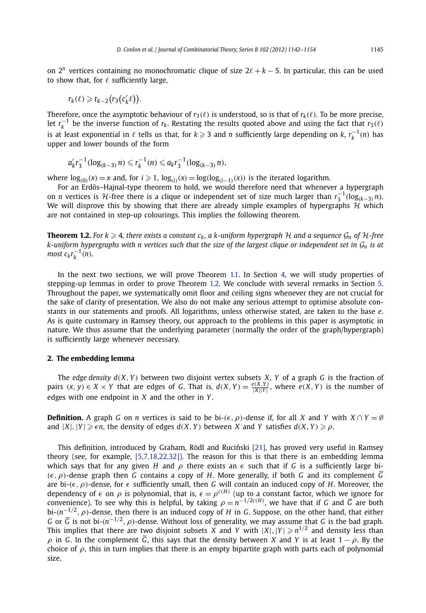<span id="page-3-0"></span>on  $2^n$  vertices containing no monochromatic clique of size  $2\ell + k - 5$ . In particular, this can be used to show that, for  $\ell$  sufficiently large,

$$
r_k(\ell) \geq t_{k-2}(r_3(c'_k\ell)).
$$

Therefore, once the asymptotic behaviour of  $r_3(\ell)$  is understood, so is that of  $r_k(\ell)$ . To be more precise, let  $r_k^{-1}$  be the inverse function of  $r_k$ . Restating the results quoted above and using the fact that  $r_3(\ell)$ is at least exponential in  $\ell$  tells us that, for  $k \geqslant 3$  and *n* sufficiently large depending on  $k$ ,  $r_k^{-1}(n)$  has upper and lower bounds of the form

$$
a'_{k}r_{3}^{-1}(\log_{(k-3)} n) \leq r_{k}^{-1}(n) \leq a_{k}r_{3}^{-1}(\log_{(k-3)} n),
$$

*where*  $log_{(0)}(x) = x$  and, for *i* ≥ 1,  $log_{(i)}(x) = log(log_{(i-1)}(x))$  is the iterated logarithm.

For an Erdős–Hajnal-type theorem to hold, we would therefore need that whenever a hypergraph on *n* vertices is H-free there is a clique or independent set of size much larger than  $r_3^{-1}(\log_{(k-3)} n)$ . We will disprove this by showing that there are already simple examples of hypergraphs  $\mathcal{H}$  which are not contained in step-up colourings. This implies the following theorem.

**Theorem 1.2.** For  $k \ge 4$ , there exists a constant  $c_k$ , a k-uniform hypergraph H and a sequence  $\mathcal{G}_n$  of H-free  $k$ -uniform hypergraphs with n vertices such that the size of the largest clique or independent set in  $\mathcal{G}_n$  is at  $\frac{1}{2}$  *most*  $c_k r_k^{-1}$  *(n)*.

In the next two sections, we will prove Theorem [1.1](#page-2-0). In Section [4,](#page-9-0) we will study properties of stepping-up lemmas in order to prove Theorem 1.2. We conclude with several remarks in Section [5.](#page-10-0) Throughout the paper, we systematically omit floor and ceiling signs whenever they are not crucial for the sake of clarity of presentation. We also do not make any serious attempt to optimise absolute constants in our statements and proofs. All logarithms, unless otherwise stated, are taken to the base *e*. As is quite customary in Ramsey theory, our approach to the problems in this paper is asymptotic in nature. We thus assume that the underlying parameter (normally the order of the graph/hypergraph) is sufficiently large whenever necessary.

#### **2. The embedding lemma**

The *edge density*  $d(X, Y)$  between two disjoint vertex subsets *X*, *Y* of a graph *G* is the fraction of pairs  $(x, y) \in X \times Y$  that are edges of G. That is,  $d(X, Y) = \frac{e(X, Y)}{|X||Y|}$ , where  $e(X, Y)$  is the number of edges with one endpoint in *X* and the other in *Y* .

**Definition.** A graph *G* on *n* vertices is said to be bi- $(\epsilon, \rho)$ -dense if, for all *X* and *Y* with  $X \cap Y = \emptyset$ and  $|X|, |Y| \geq \epsilon n$ , the density of edges  $d(X, Y)$  between X and Y satisfies  $d(X, Y) \geq \rho$ .

This definition, introduced by Graham, Rödl and Ruciński [\[21\],](#page-11-0) has proved very useful in Ramsey theory (see, for example, [\[5,7,18,22,32\]\)](#page-11-0). The reason for this is that there is an embedding lemma which says that for any given *H* and  $\rho$  there exists an  $\epsilon$  such that if *G* is a sufficiently large bi- $(\epsilon, \rho)$ -dense graph then *G* contains a copy of *H*. More generally, if both *G* and its complement  $\overline{G}$ are bi- $(\epsilon, \rho)$ -dense, for  $\epsilon$  sufficiently small, then *G* will contain an induced copy of *H*. Moreover, the dependency of  $\epsilon$  on  $\rho$  is polynomial, that is,  $\epsilon = \rho^{c(H)}$  (up to a constant factor, which we ignore for convenience). To see why this is helpful, by taking  $\rho = n^{-1/2c(H)}$ , we have that if *G* and  $\overline{G}$  are both bi-*(n*−1*/*<sup>2</sup>*,ρ)*-dense, then there is an induced copy of *H* in *G*. Suppose, on the other hand, that either *G* or *G* is not bi-*(n*−1*/*<sup>2</sup>*,ρ)*-dense. Without loss of generality, we may assume that *G* is the bad graph. This implies that there are two disjoint subsets *X* and *Y* with  $|X|, |Y| \geqslant n^{1/2}$  and density less than  $\rho$  in *G*. In the complement  $\overline{G}$ , this says that the density between *X* and *Y* is at least 1 −  $\rho$ . By the choice of  $\rho$ , this in turn implies that there is an empty bipartite graph with parts each of polynomial size.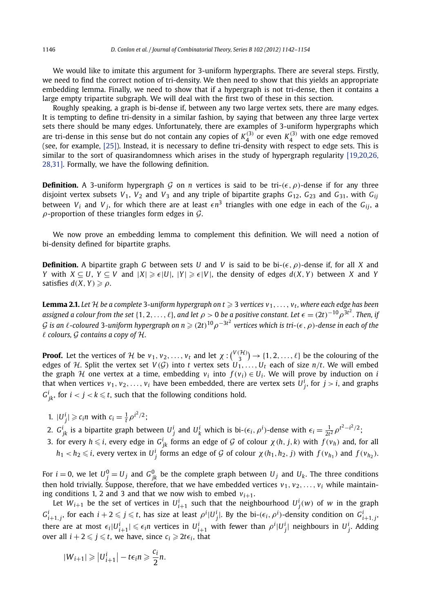<span id="page-4-0"></span>We would like to imitate this argument for 3-uniform hypergraphs. There are several steps. Firstly, we need to find the correct notion of tri-density. We then need to show that this yields an appropriate embedding lemma. Finally, we need to show that if a hypergraph is not tri-dense, then it contains a large empty tripartite subgraph. We will deal with the first two of these in this section.

Roughly speaking, a graph is bi-dense if, between any two large vertex sets, there are many edges. It is tempting to define tri-density in a similar fashion, by saying that between any three large vertex sets there should be many edges. Unfortunately, there are examples of 3-uniform hypergraphs which are tri-dense in this sense but do not contain any copies of  $K_4^{(3)}$  or even  $K_4^{(3)}$  with one edge removed<br>(see, for example, [\[25\]\)](#page-11-0). Instead, it is necessary to define tri-density with respect to edge sets. This is similar to the sort of quasirandomness which arises in the study of hypergraph regularity [\[19,20,26,](#page-11-0) [28,31\].](#page-11-0) Formally, we have the following definition.

**Definition.** A 3-uniform hypergraph G on *n* vertices is said to be tri- $(\epsilon, \rho)$ -dense if for any three disjoint vertex subsets  $V_1$ ,  $V_2$  and  $V_3$  and any triple of bipartite graphs  $G_{12}$ ,  $G_{23}$  and  $G_{31}$ , with  $G_{ij}$ between  $V_i$  and  $V_j$ , for which there are at least  $\epsilon n^3$  triangles with one edge in each of the  $G_{ij}$ , a  $\rho$ -proportion of these triangles form edges in  $\mathcal{G}$ .

We now prove an embedding lemma to complement this definition. We will need a notion of bi-density defined for bipartite graphs.

**Definition.** A bipartite graph *G* between sets *U* and *V* is said to be bi- $(\epsilon, \rho)$ -dense if, for all *X* and *Y* with *X* ⊆ *U*, *Y* ⊆ *V* and  $|X|$  ≥  $\epsilon$   $|U|$ ,  $|Y|$  ≥  $\epsilon$   $|V|$ , the density of edges *d*(*X*, *Y*) between *X* and *Y*  $\mathsf{satisfies}\ d(X,Y) \geqslant \rho.$ 

**Lemma 2.1.** Let  $\mathcal H$  be a complete 3-uniform hypergraph on  $t\geqslant 3$  vertices  $\mathsf v_1,\ldots,\mathsf v_t$ , where each edge has been assigned a colour from the set {1, 2, . . . ,  $\ell$ }, and let  $\rho>0$  be a positive constant. Let  $\epsilon=(2t)^{-10}\rho^{3t^2}$ . Then, if  $G$  is an  $\ell$ -coloured 3-uniform hypergraph on  $n \geqslant (2t)^{10} \rho^{-3t^2}$  vertices which is tri- $(\epsilon,\rho)$ -dense in each of the *colours,* G *contains a copy of* H*.*

**Proof.** Let the vertices of H be  $v_1, v_2, \ldots, v_t$  and let  $\chi: \binom{V(\mathcal{H})}{3} \to \{1, 2, \ldots, \ell\}$  be the colouring of the edges of H. Split the vertex set  $V(G)$  into *t* vertex sets  $U_1, \ldots, U_t$  each of size  $n/t$ . We will embed the graph H one vertex at a time, embedding  $v_i$  into  $f(v_i) \in U_i$ . We will prove by induction on *i* that when vertices  $v_1, v_2, \ldots, v_i$  have been embedded, there are vertex sets  $U^i_j$ , for  $j > i$ , and graphs  $G^{i}_{jk}$ , for  $i < j < k \leqslant t$ , such that the following conditions hold.

- 1.  $|U^i_j| \ge c_i n$  with  $c_i = \frac{1}{t} \rho^{i^2/2}$ ;
- 2.  $G_{jk}^i$  is a bipartite graph between  $U_j^i$  and  $U_k^i$  which is bi- $(\epsilon_i, \rho^i)$ -dense with  $\epsilon_i = \frac{1}{2t^2} \rho^{t^2 i^2/2}$ ;
- 3. for every  $h \leq i$ , every edge in  $G^i_{jk}$  forms an edge of  $\mathcal G$  of colour  $\chi(h, j, k)$  with  $f(v_h)$  and, for all  $h_1 < h_2 \leqslant i$ , every vertex in  $U^i_j$  forms an edge of  $\mathcal G$  of colour  $\chi(h_1,h_2,j)$  with  $f(v_{h_1})$  and  $f(v_{h_2})$ .

For  $i=0$ , we let  $U_j^0=U_j$  and  $G_{jk}^0$  be the complete graph between  $U_j$  and  $U_k$ . The three conditions then hold trivially. Suppose, therefore, that we have embedded vertices  $v_1, v_2, \ldots, v_i$  while maintaining conditions 1, 2 and 3 and that we now wish to embed  $v_{i+1}$ .

Let  $W_{i+1}$  be the set of vertices in  $U_{i+1}^i$  such that the neighbourhood  $U_j^i(w)$  of  $w$  in the graph  $G^i_{i+1,j}$ , for each  $i+2\leqslant j\leqslant t$ , has size at least  $\rho^i|U^i_j|$ . By the bi- $(\epsilon_i,\rho^i)$ -density condition on  $G^i_{i+1,j}$ , there are at most  $\epsilon_i|U^i_{i+1}|\leqslant \epsilon_i n$  vertices in  $U^i_{i+1}$  with fewer than  $\rho^i|U^i_j|$  neighbours in  $U^i_j$ . Adding over all  $i + 2 \leqslant j \leqslant t$ , we have, since  $c_i \geqslant 2t\epsilon_i$ , that

$$
|W_{i+1}| \geq |U_{i+1}^i| - t\epsilon_i n \geqslant \frac{c_i}{2}n.
$$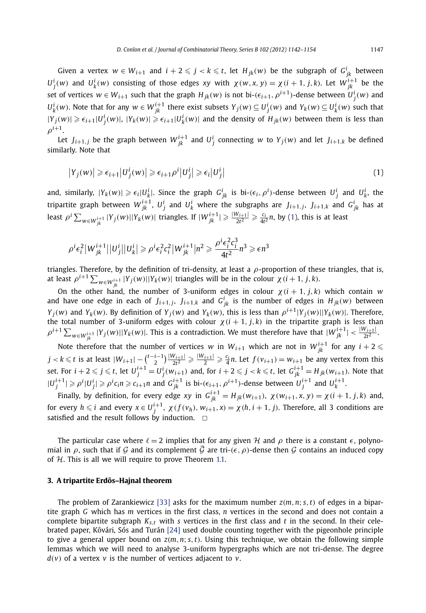Given a vertex  $w \in W_{i+1}$  and  $i+2 \leqslant j < k \leqslant t$ , let  $H_{jk}(w)$  be the subgraph of  $G^i_{jk}$  between  $U_j^i(w)$  and  $U_k^i(w)$  consisting of those edges xy with  $\chi(w, x, y) = \chi(i + 1, j, k)$ . Let  $W_{jk}^{i+1}$  be the set of vertices  $w \in W_{i+1}$  such that the graph  $H_{jk}(w)$  is not bi- $(\epsilon_{i+1}, \rho^{i+1})$ -dense between  $U_j^i(w)$  and  $U_k^i(w)$ . Note that for any  $w \in W_{jk}^{i+1}$  there exist subsets  $Y_j(w) \subseteq U_j^i(w)$  and  $Y_k(w) \subseteq U_k^i(w)$  such that  $|Y_j(w)| \geqslant \epsilon_{i+1} |U_j^i(w)|, |Y_k(w)| \geqslant \epsilon_{i+1} |U_k^i(w)|$  and the density of  $H_{jk}(w)$  between them is less than  $\rho^{i+1}$ .

Let  $J_{i+1,j}$  be the graph between  $W_{jk}^{i+1}$  and  $U_j^i$  connecting  $w$  to  $Y_j(w)$  and let  $J_{i+1,k}$  be defined similarly. Note that

$$
|Y_j(w)| \geq \epsilon_{i+1} |U_j^i(w)| \geq \epsilon_{i+1} \rho^i |U_j^i| \geq \epsilon_i |U_j^i| \tag{1}
$$

and, similarly,  $|Y_k(w)| \geqslant \epsilon_i |U_k^i|$ . Since the graph  $G_{jk}^i$  is bi- $(\epsilon_i, \rho^i)$ -dense between  $U_j^i$  and  $U_k^i$ , the tripartite graph between  $W^{i+1}_{jk}$ ,  $U^i_j$  and  $U^i_k$  where the subgraphs are  $J_{i+1,j}$ ,  $J_{i+1,k}$  and  $G^i_{jk}$  has at least  $\rho^i \sum_{w \in W^{i+1}_{jk}} |Y_j(w)| |Y_k(w)|$  triangles. If  $|W^{i+1}_{jk}| \geqslant \frac{|W_{i+1}|}{2t^2} \geqslant \frac{c_i}{4t^2} n$ , by (1), this is at least

$$
\rho^{i}\epsilon_{i}^{2}\big|W_{jk}^{i+1}\big|\big|U_{j}^{i}\big|\big|U_{k}^{i}\big|\geqslant\rho^{i}\epsilon_{i}^{2}c_{i}^{2}\big|W_{jk}^{i+1}\big|n^{2}\geqslant\frac{\rho^{i}\epsilon_{i}^{2}c_{i}^{3}}{4t^{2}}n^{3}\geqslant\epsilon n^{3}
$$

triangles. Therefore, by the definition of tri-density, at least a *ρ*-proportion of these triangles, that is, at least  $\rho^{i+1} \sum_{w \in W^{i+1}_{ik}} |Y_j(w)| |Y_k(w)|$  triangles will be in the colour  $\chi(i+1, j, k)$ .

On the other hand, the number of 3-uniform edges in colour  $\chi(i + 1, j, k)$  which contain *w* and have one edge in each of  $J_{i+1,j}$ ,  $J_{i+1,k}$  and  $G^i_{jk}$  is the number of edges in  $H_{jk}(w)$  between  $Y_j(w)$  and  $Y_k(w)$ . By definition of  $Y_j(w)$  and  $Y_k(w)$ , this is less than  $\rho^{i+1}|Y_j(w)||Y_k(w)|$ . Therefore, the total number of 3-uniform edges with colour  $χ(i + 1, j, k)$  in the tripartite graph is less than  $\rho^{i+1}\sum_{w\in W^{i+1}_{ik}}|Y_j(w)||Y_k(w)|$ . This is a contradiction. We must therefore have that  $|W^{i+1}_{jk}|\leq \frac{|W_{i+1}|}{2t^2}$ .

Note therefore that the number of vertices *w* in  $W_{i+1}$  which are not in  $W_{jk}^{i+1}$  for any  $i+2 \leq$  $j < k \leqslant t$  is at least  $|W_{i+1}| - {t-i-1 \choose 2}\frac{|W_{i+1}|}{2t^2} \geqslant \frac{|W_{i+1}|}{2} \geqslant \frac{c_i}{4}n$ . Let  $f(v_{i+1}) = w_{i+1}$  be any vertex from this set. For  $i+2\leqslant j\leqslant t$ , let  $U_j^{i+1}=U_j^i(w_{i+1})$  and, for  $i+2\leqslant j< k\leqslant t$ , let  $G_{jk}^{i+1}=H_{jk}(w_{i+1}).$  Note that  $|U_j^{i+1}| \geqslant \rho^i |U_j^i| \geqslant \rho^i c_i n \geqslant c_{i+1} n$  and  $G_{jk}^{i+1}$  is bi- $(\epsilon_{i+1}, \rho^{i+1})$ -dense between  $U_j^{i+1}$  and  $U_k^{i+1}$ .

Finally, by definition, for every edge xy in  $G_{jk}^{i+1} = H_{jk}(w_{i+1}), \ \chi(w_{i+1}, x, y) = \chi(i+1, j, k)$  and, for every  $h\leqslant i$  and every  $x\in U_j^{i+1}$ ,  $\chi(f(v_h),w_{i+1},x)=\chi(h,i+1,j).$  Therefore, all 3 conditions are satisfied and the result follows by induction.  $\Box$ 

The particular case where  $\ell = 2$  implies that for any given H and  $\rho$  there is a constant  $\epsilon$ , polynomial in  $\rho$ , such that if G and its complement  $\overline{G}$  are tri- $(\epsilon, \rho)$ -dense then G contains an induced copy of  $H$ . This is all we will require to prove Theorem [1.1.](#page-2-0)

## **3. A tripartite Erdos–Hajnal theorem ˝**

The problem of Zarankiewicz [\[33\]](#page-12-0) asks for the maximum number *z(m,n*; *s,t)* of edges in a bipartite graph *G* which has *m* vertices in the first class, *n* vertices in the second and does not contain a complete bipartite subgraph  $K_{s,t}$  with *s* vertices in the first class and *t* in the second. In their celebrated paper, Kővári, Sós and Turán  $[24]$  used double counting together with the pigeonhole principle to give a general upper bound on  $z(m, n; s, t)$ . Using this technique, we obtain the following simple lemmas which we will need to analyse 3-uniform hypergraphs which are not tri-dense. The degree  $d(v)$  of a vertex  $v$  is the number of vertices adjacent to  $v$ .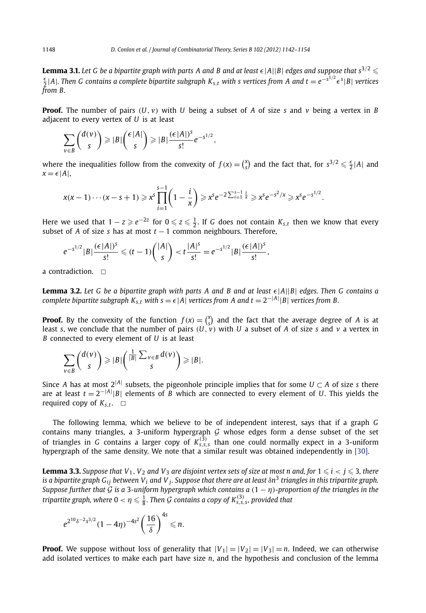<span id="page-6-0"></span>**Lemma 3.1.** Let G be a bipartite graph with parts A and B and at least  $\epsilon$ |A||B| edges and suppose that s<sup>3/2</sup>  $\leq$ <br> $\frac{\epsilon}{2}$ |A|. Then G contains a complete bipartite subgraph K<sub>s,t</sub> with s vertices from A and t = e<sup>-s</sup> *from B.*

**Proof.** The number of pairs  $(U, v)$  with  $U$  being a subset of  $A$  of size  $s$  and  $v$  being a vertex in  $B$ adjacent to every vertex of *U* is at least

$$
\sum_{v\in B}\binom{d(v)}{s}\geqslant |B|\binom{\epsilon|A|}{s}\geqslant |B|\frac{(\epsilon|A|)^s}{s!}e^{-s^{1/2}},
$$

where the inequalities follow from the convexity of  $f(x) = \binom{x}{s}$  and the fact that, for  $s^{3/2} \leq \frac{\epsilon}{2}|A|$  and  $x = \epsilon |A|$ ,

$$
x(x-1)\cdots(x-s+1) \geq x^s \prod_{i=1}^{s-1} \left(1-\frac{i}{x}\right) \geq x^s e^{-2\sum_{i=1}^{s-1} \frac{i}{x}} \geq x^s e^{-s^2/x} \geq x^s e^{-s^{1/2}}.
$$

Here we used that  $1 - z \ge e^{-2z}$  for  $0 \le z \le \frac{1}{2}$ . If *G* does not contain  $K_{s,t}$  then we know that every subset of *A* of size *s* has at most  $t - 1$  common neighbours. Therefore,

$$
e^{-s^{1/2}}|B|\frac{(\epsilon|A|)^s}{s!} \leq (t-1)\binom{|A|}{s} < t\frac{|A|^s}{s!} = e^{-s^{1/2}}|B|\frac{(\epsilon|A|)^s}{s!},
$$

a contradiction.  $\Box$ 

**Lemma 3.2.** *Let G be a bipartite graph with parts A and B and at least*  $\epsilon$  |A||B| edges. Then G contains a *complete bipartite subgraph K<sub>s,t</sub> with s* =  $\epsilon$ |A| *vertices from A and t* = 2<sup>−|A|</sup>|B| *vertices from B*.

**Proof.** By the convexity of the function  $f(x) = \begin{pmatrix} x \\ s \end{pmatrix}$  and the fact that the average degree of *A* is at least *s*, we conclude that the number of pairs  $(U, v)$  with *U* a subset of *A* of size *s* and *v* a vertex in *B* connected to every element of *U* is at least

$$
\sum_{v\in B}\binom{d(v)}{s}\geqslant |B|\binom{\frac{1}{|B|}\sum_{v\in B}d(v)}{s}\geqslant |B|.
$$

Since *A* has at most  $2^{|A|}$  subsets, the pigeonhole principle implies that for some  $U \subset A$  of size *s* there are at least *t* = 2−|*A*<sup>|</sup> |*B*| elements of *B* which are connected to every element of *U*. This yields the required copy of  $K_{s,t}$ .  $\Box$ 

The following lemma, which we believe to be of independent interest, says that if a graph *G* contains many triangles, a 3-uniform hypergraph  $G$  whose edges form a dense subset of the set of triangles in *G* contains a larger copy of  $K_{s,s,s}^{(3)}$  than one could normally expect in a 3-uniform hypergraph of the same density. We note that a similar result was obtained independently in [\[30\].](#page-12-0)

**Lemma 3.3.** Suppose that  $V_1$ ,  $V_2$  and  $V_3$  are disjoint vertex sets of size at most n and, for  $1 \le i < j \le 3$ , there *is a bipartite graph Gij between Vi and V j. Suppose that there are at least δn*<sup>3</sup> *triangles in this tripartite graph. Suppose further that* G *is a* <sup>3</sup>*-uniform hypergraph which contains a (*<sup>1</sup> − *η)-proportion of the triangles in the*  $t$ ripartite graph, where  $0 < \eta \leqslant \frac{1}{8}.$  Then  $\mathcal G$  contains a copy of  $K_{s,s,s}^{(3)}$ , provided that

$$
e^{2^{10}\delta^{-2}s^{3/2}}(1-4\eta)^{-4s^2}\left(\frac{16}{\delta}\right)^{4s}\leq n.
$$

**Proof.** We suppose without loss of generality that  $|V_1| = |V_2| = |V_3| = n$ . Indeed, we can otherwise add isolated vertices to make each part have size *n*, and the hypothesis and conclusion of the lemma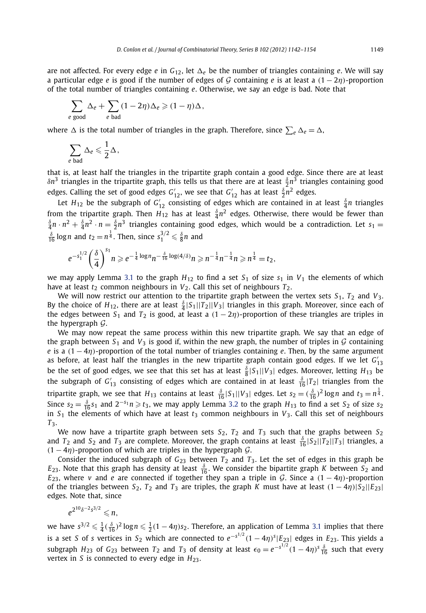are not affected. For every edge *e* in  $G_{12}$ , let  $\Delta_e$  be the number of triangles containing *e*. We will say a particular edge *e* is good if the number of edges of G containing *e* is at least a  $(1 - 2\eta)$ -proportion of the total number of triangles containing *e*. Otherwise, we say an edge is bad. Note that

$$
\sum_{e \text{ good}} \Delta_e + \sum_{e \text{ bad}} (1 - 2\eta) \Delta_e \geqslant (1 - \eta) \Delta,
$$

where  $\Delta$  is the total number of triangles in the graph. Therefore, since  $\sum_e \Delta_e = \Delta$ ,

$$
\sum_{e \text{ bad}} \Delta_e \leqslant \frac{1}{2} \Delta,
$$

that is, at least half the triangles in the tripartite graph contain a good edge. Since there are at least *δn*<sup>3</sup> triangles in the tripartite graph, this tells us that there are at least *<sup>δ</sup>* <sup>2</sup> *<sup>n</sup>*<sup>3</sup> triangles containing good edges. Calling the set of good edges  $G'_{12}$ , we see that  $G'_{12}$  has at least  $\frac{\delta}{2}n^2$  edges.

Let  $H_{12}$  be the subgraph of  $G'_{12}$  consisting of edges which are contained in at least  $\frac{\delta}{4}n$  triangles from the tripartite graph. Then  $H_{12}$  has at least  $\frac{\delta}{4}n^2$  edges. Otherwise, there would be fewer than  $\frac{\delta}{4}n \cdot n^2 + \frac{\delta}{4}n^2 \cdot n = \frac{\delta}{2}n^3$  triangles containing good edges, which would be a contradiction. Let  $s_1 =$  $\frac{\delta}{16}$  log *n* and  $t_2 = n^{\frac{1}{4}}$ . Then, since  $s_1^{3/2} \leq \frac{\delta}{8}n$  and

$$
e^{-s_1^{1/2}}\bigg(\frac{\delta}{4}\bigg)^{s_1}n\geqslant e^{-\frac{1}{4}\log n}n^{-\frac{\delta}{16}\log(4/\delta)}n\geqslant n^{-\frac{1}{4}}n^{-\frac{1}{4}}n\geqslant n^{\frac{1}{4}}=t_2,
$$

we may apply Lemma [3.1](#page-6-0) to the graph  $H_{12}$  to find a set  $S_1$  of size  $s_1$  in  $V_1$  the elements of which have at least  $t_2$  common neighbours in  $V_2$ . Call this set of neighbours  $T_2$ .

We will now restrict our attention to the tripartite graph between the vertex sets  $S_1$ ,  $T_2$  and  $V_3$ . By the choice of  $H_{12}$ , there are at least  $\frac{3}{4}|S_1||T_2||V_3|$  triangles in this graph. Moreover, since each of the edges between  $S_1$  and  $T_2$  is good, at least a  $(1 - 2\eta)$ -proportion of these triangles are triples in the hypergraph  $\mathcal{G}$ .

We may now repeat the same process within this new tripartite graph. We say that an edge of the graph between  $S_1$  and  $V_3$  is good if, within the new graph, the number of triples in  $G$  containing *e* is a  $(1 - 4\eta)$ -proportion of the total number of triangles containing *e*. Then, by the same argument as before, at least half the triangles in the new tripartite graph contain good edges. If we let *G* 13 be the set of good edges, we see that this set has at least  $\frac{\delta}{8}|S_1||V_3|$  edges. Moreover, letting  $H_{13}$  be the subgraph of  $G'_{13}$  consisting of edges which are contained in at least  $\frac{\delta}{16} |T_2|$  triangles from the tripartite graph, we see that  $H_{13}$  contains at least  $\frac{\delta}{16} |S_1||V_3|$  edges. Let  $s_2 = (\frac{\delta}{16})^2 \log n$  and  $t_3 = n^{\frac{1}{4}}$ . Since  $s_2 = \frac{\delta}{16} s_1$  and  $2^{-s_1} n \ge t_3$ , we may apply Lemma [3.2](#page-6-0) to the graph  $H_{13}$  to find a set  $S_2$  of size  $s_2$ in  $S_1$  the elements of which have at least  $t_3$  common neighbours in  $V_3$ . Call this set of neighbours *T*3.

We now have a tripartite graph between sets *S*2, *T*<sup>2</sup> and *T*<sup>3</sup> such that the graphs between *S*<sup>2</sup> and  $T_2$  and  $S_2$  and  $T_3$  are complete. Moreover, the graph contains at least  $\frac{\delta}{16} |S_2||T_2||T_3|$  triangles, a  $(1 - 4\eta)$ -proportion of which are triples in the hypergraph  $\mathcal{G}$ .

Consider the induced subgraph of  $G_{23}$  between  $T_2$  and  $T_3$ . Let the set of edges in this graph be *E*<sub>23</sub>. Note that this graph has density at least  $\frac{\delta}{16}$ . We consider the bipartite graph *K* between *S*<sub>2</sub> and *E*<sub>23</sub>, where *v* and *e* are connected if together they span a triple in G. Since a  $(1 - 4\eta)$ -proportion of the triangles between  $S_2$ ,  $T_2$  and  $T_3$  are triples, the graph *K* must have at least  $(1 - 4\eta) |S_2||E_{23}|$ edges. Note that, since

$$
e^{2^{10}\delta^{-2}s^{3/2}}\leq n,
$$

we have  $s^{3/2} \leqslant \frac{1}{4}(\frac{\delta}{16})^2\log n \leqslant \frac{1}{2}(1-4\eta)s_2.$  Therefore, an application of Lemma [3.1](#page-6-0) implies that there is a set *<sup>S</sup>* of *<sup>s</sup>* vertices in *<sup>S</sup>*<sup>2</sup> which are connected to *<sup>e</sup>*−*s*1*/*<sup>2</sup> *(*1 − 4*η)<sup>s</sup>* |*E*23| edges in *E*23. This yields a subgraph  $H_{23}$  of  $G_{23}$  between  $T_2$  and  $T_3$  of density at least  $\epsilon_0 = e^{-s^{1/2}}(1-4\eta)^s\frac{\delta}{16}$  such that every vertex in *S* is connected to every edge in  $H_{23}$ .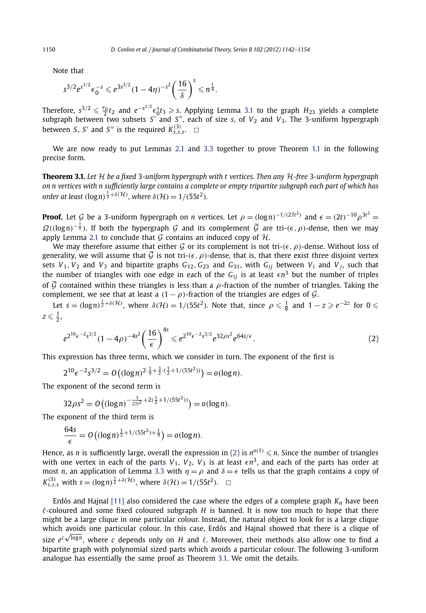Note that

$$
s^{3/2}e^{s^{1/2}}\epsilon_0^{-s}\leq e^{3s^{3/2}}(1-4\eta)^{-s^2}\left(\frac{16}{\delta}\right)^s\leqslant n^{\frac{1}{4}}.
$$

Therefore,  $s^{3/2} \leq \frac{\epsilon_0}{2} t_2$  and  $e^{-s^{1/2}} \epsilon_0^5 t_3 \geq s$ . Applying Lemma [3.1](#page-6-0) to the graph  $H_{23}$  yields a complete subgraph between two subsets S' and S'', each of size s, of  $V_2$  and  $V_3$ . The 3-uniform hypergra between *S*, *S'* and *S''* is the required  $K_{s,s,s}^{(3)}$ .  $\Box$ 

We are now ready to put Lemmas [2.1](#page-4-0) and [3.3](#page-6-0) together to prove Theorem [1.1](#page-2-0) in the following precise form.

**Theorem 3.1.** *Let* H *be a fixed* 3*-uniform hypergraph with t vertices. Then any* H*-free* 3*-uniform hypergraph on n vertices with n sufficiently large contains a complete or empty tripartite subgraph each part of which has order at least*  $(\log n)^{\frac{1}{2} + \delta(\mathcal{H})}$ , where  $\delta(\mathcal{H}) = 1/(55t^2)$ *.* 

**Proof.** Let G be a 3-uniform hypergraph on *n* vertices. Let  $\rho = (\log n)^{-1/(27t^2)}$  and  $\epsilon = (2t)^{-10} \rho^{3t^2} =$  $\Omega((\log n)^{-\frac{1}{9}})$ . If both the hypergraph G and its complement  $\overline{\mathcal{G}}$  are tri- $(\epsilon, \rho)$ -dense, then we may apply Lemma [2.1](#page-4-0) to conclude that G contains an induced copy of  $H$ .

We may therefore assume that either G or its complement is not tri- $(\epsilon, \rho)$ -dense. Without loss of generality, we will assume that  $\vec{G}$  is not tri- $(\epsilon, \rho)$ -dense, that is, that there exist three disjoint vertex sets  $V_1$ ,  $V_2$  and  $V_3$  and bipartite graphs  $G_{12}$ ,  $G_{23}$  and  $G_{31}$ , with  $G_{ij}$  between  $V_i$  and  $V_j$ , such that the number of triangles with one edge in each of the  $G_{ij}$  is at least  $\epsilon n^3$  but the number of triples of  $\overline{G}$  contained within these triangles is less than a  $\rho$ -fraction of the number of triangles. Taking the complement, we see that at least a  $(1 - \rho)$ -fraction of the triangles are edges of  $\mathcal{G}$ .

Let  $s = (\log n)^{\frac{1}{2} + \delta(\mathcal{H})}$ , where  $\delta(\mathcal{H}) = 1/(55t^2)$ . Note that, since  $\rho \leq \frac{1}{8}$  and  $1 - z \geq e^{-2z}$  for  $0 \leq$  $z \leqslant \frac{1}{2}$ ,

$$
e^{2^{10}\epsilon^{-2}s^{3/2}}(1-4\rho)^{-4s^2}\left(\frac{16}{\epsilon}\right)^{4s} \leq e^{2^{10}\epsilon^{-2}s^{3/2}}e^{32\rho s^2}e^{64s/\epsilon}.\tag{2}
$$

This expression has three terms, which we consider in turn. The exponent of the first is

$$
2^{10} \epsilon^{-2} s^{3/2} = O\left((\log n)^{2 \cdot \frac{1}{9} + \frac{3}{2} \cdot (\frac{1}{2} + 1/(55t^2))}\right) = o(\log n).
$$

The exponent of the second term is

$$
32\rho s^2 = O\left((\log n)^{-\frac{1}{27t^2} + 2(\frac{1}{2} + 1/(55t^2))}\right) = o(\log n).
$$

The exponent of the third term is

$$
\frac{64s}{\epsilon} = O\left((\log n)^{\frac{1}{2}+1/(55t^2)+\frac{1}{9}}\right) = o(\log n).
$$

Hence, as *n* is sufficiently large, overall the expression in (2) is  $n^{o(1)} \le n$ . Since the number of triangles with one vertex in each of the parts  $V_1$ ,  $V_2$ ,  $V_3$  is at least  $\epsilon n^3$ , and each of the parts has order at most *n*, an application of Lemma [3.3](#page-6-0) with  $\eta = \rho$  and  $\delta = \epsilon$  tells us that the graph contains a copy of *K*<sub>S,S,S</sub></sub> with  $s = (\log n)^{\frac{1}{2} + \delta(\mathcal{H})}$ , where  $\delta(\mathcal{H}) = 1/(55t^2)$ .  $\Box$ 

Erdős and Hajnal  $[11]$  also considered the case where the edges of a complete graph  $K_n$  have been  $\ell$ -coloured and some fixed coloured subgraph  $H$  is banned. It is now too much to hope that there might be a large clique in one particular colour. Instead, the natural object to look for is a large clique which avoids one particular colour. In this case, Erdős and Hajnal showed that there is a clique of which avoids one particular colour. In this case, Erdos and Hajnal showed that there is a clique of<br>size *e<sup>c√logn</sup>, where c depends only on <i>H* and *ℓ*. Moreover, their methods also allow one to find a bipartite graph with polynomial sized parts which avoids a particular colour. The following 3-uniform analogue has essentially the same proof as Theorem 3.1. We omit the details.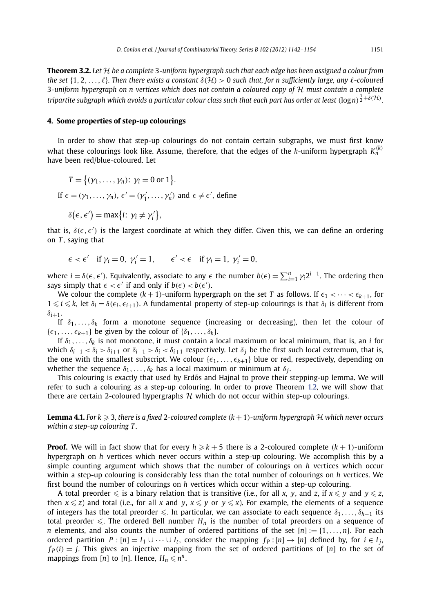<span id="page-9-0"></span>**Theorem 3.2.** *Let* H *be a complete* 3*-uniform hypergraph such that each edge has been assigned a colour from the set*  $\{1, 2, \ldots, \ell\}$ . Then there exists a constant  $\delta(\mathcal{H}) > 0$  such that, for n sufficiently large, any  $\ell$ -coloured 3*-uniform hypergraph on n vertices which does not contain a coloured copy of* H *must contain a complete* tripartite subgraph which avoids a particular colour class such that each part has order at least  $(\log n)^{\frac12+\delta(\mathcal H)}$ .

## **4. Some properties of step-up colourings**

In order to show that step-up colourings do not contain certain subgraphs, we must first know what these colourings look like. Assume, therefore, that the edges of the *k*-uniform hypergraph  $K_n^{(k)}$ have been red/blue-coloured. Let

$$
T = \{ (\gamma_1, \dots, \gamma_n) \colon \gamma_i = 0 \text{ or } 1 \}.
$$
  
If  $\epsilon = (\gamma_1, \dots, \gamma_n), \epsilon' = (\gamma'_1, \dots, \gamma'_n)$  and  $\epsilon \neq \epsilon'$ , define

$$
\delta(\epsilon,\epsilon') = \max\{i: \gamma_i \neq \gamma'_i\},\
$$

that is,  $\delta(\epsilon, \epsilon')$  is the largest coordinate at which they differ. Given this, we can define an ordering on *T* , saying that

$$
\epsilon < \epsilon'
$$
 if  $\gamma_i = 0$ ,  $\gamma'_i = 1$ ,  $\epsilon' < \epsilon$  if  $\gamma_i = 1$ ,  $\gamma'_i = 0$ ,

where  $i = \delta(\epsilon, \epsilon')$ . Equivalently, associate to any  $\epsilon$  the number  $b(\epsilon) = \sum_{i=1}^n \gamma_i 2^{i-1}$ . The ordering then says simply that  $\epsilon < \epsilon'$  if and only if  $b(\epsilon) < b(\epsilon')$ .

We colour the complete  $(k + 1)$ -uniform hypergraph on the set *T* as follows. If  $\epsilon_1 < \cdots < \epsilon_{k+1}$ , for  $1 \leq i \leq k$ , let  $\delta_i = \delta(\epsilon_i, \epsilon_{i+1})$ . A fundamental property of step-up colourings is that  $\delta_i$  is different from  $\delta_{i+1}$ .

If  $\delta_1, \ldots, \delta_k$  form a monotone sequence (increasing or decreasing), then let the colour of  $\{\epsilon_1, \ldots, \epsilon_{k+1}\}\$  be given by the colour of  $\{\delta_1, \ldots, \delta_k\}$ .

If  $\delta_1, \ldots, \delta_k$  is not monotone, it must contain a local maximum or local minimum, that is, an *i* for which  $\delta_{i-1} < \delta_i > \delta_{i+1}$  or  $\delta_{i-1} > \delta_i < \delta_{i+1}$  respectively. Let  $\delta_i$  be the first such local extremum, that is, the one with the smallest subscript. We colour  $\{\epsilon_1, \ldots, \epsilon_{k+1}\}$  blue or red, respectively, depending on whether the sequence  $\delta_1, \ldots, \delta_k$  has a local maximum or minimum at  $\delta_i$ .

This colouring is exactly that used by Erdős and Hajnal to prove their stepping-up lemma. We will refer to such a colouring as a step-up colouring. In order to prove Theorem [1.2](#page-3-0), we will show that there are certain 2-coloured hypergraphs  $H$  which do not occur within step-up colourings.

**Lemma 4.1.** For  $k \ge 3$ , there is a fixed 2-coloured complete  $(k + 1)$ -uniform hypergraph  $\mathcal H$  which never occurs *within a step-up colouring T .*

**Proof.** We will in fact show that for every  $h \geq k + 5$  there is a 2-coloured complete  $(k + 1)$ -uniform hypergraph on *h* vertices which never occurs within a step-up colouring. We accomplish this by a simple counting argument which shows that the number of colourings on *h* vertices which occur within a step-up colouring is considerably less than the total number of colourings on *h* vertices. We first bound the number of colourings on *h* vertices which occur within a step-up colouring.

A total preorder  $\leq$  is a binary relation that is transitive (i.e., for all *x*, *y*, and *z*, if  $x \leq y$  and  $y \leq z$ , then  $x \le z$ ) and total (i.e., for all *x* and *y*,  $x \le y$  or  $y \le x$ ). For example, the elements of a sequence of integers has the total preorder  $\leq$ . In particular, we can associate to each sequence  $\delta_1, \ldots, \delta_{h-1}$  its total preorder  $\leq$ . The ordered Bell number  $H_n$  is the number of total preorders on a sequence of *n* elements, and also counts the number of ordered partitions of the set  $[n] := \{1, \ldots, n\}$ . For each ordered partition  $P : [n] = I_1 \cup \cdots \cup I_t$ , consider the mapping  $f_P : [n] \rightarrow [n]$  defined by, for  $i \in I_i$ ,  $f_P(i) = j$ . This gives an injective mapping from the set of ordered partitions of [*n*] to the set of mappings from [*n*] to [*n*]. Hence,  $H_n \le n^n$ .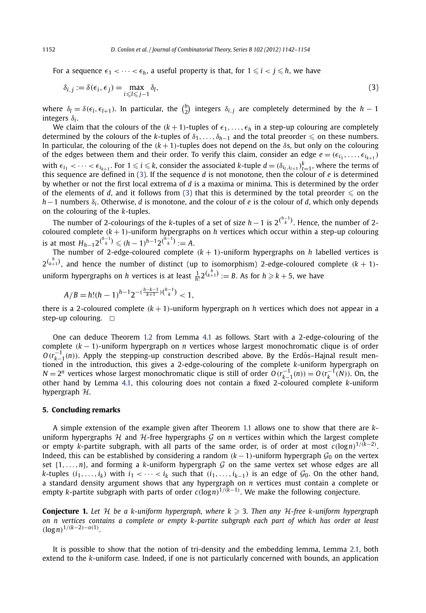<span id="page-10-0"></span>For a sequence  $\epsilon_1 < \cdots < \epsilon_h$ , a useful property is that, for  $1 \leq i < j \leq h$ , we have

$$
\delta_{i,j} := \delta(\epsilon_i, \epsilon_j) = \max_{i \le l \le j-1} \delta_l,\tag{3}
$$

where  $\delta_l = \delta(\epsilon_l, \epsilon_{l+1})$ . In particular, the  $\binom{h}{2}$  integers  $\delta_{i,j}$  are completely determined by the  $h-1$ integers *δ<sup>i</sup>* .

We claim that the colours of the  $(k + 1)$ -tuples of  $\epsilon_1, \ldots, \epsilon_h$  in a step-up colouring are completely determined by the colours of the *k*-tuples of  $\delta_1, \ldots, \delta_{h-1}$  and the total preorder  $\leq$  on these numbers. In particular, the colouring of the  $(k + 1)$ -tuples does not depend on the  $\delta s$ , but only on the colouring of the edges between them and their order. To verify this claim, consider an edge  $e = (\epsilon_{i_1}, \ldots, \epsilon_{i_{k+1}})$ with  $\epsilon_{i_1} < \cdots < \epsilon_{i_{k+1}}$ . For  $1 \leq i \leq k$ , consider the associated *k*-tuple  $d = (\delta_{i_t, i_{t+1}})_{t=1}^k$ , where the terms of this sequence are defined in (3). If the sequence *d* is not monotone, then the colour of *e* is determined by whether or not the first local extrema of *d* is a maxima or minima. This is determined by the order of the elements of *d*, and it follows from (3) that this is determined by the total preorder  $\leq$  on the *h*−1 numbers *δ<sup>i</sup>* . Otherwise, *d* is monotone, and the colour of *e* is the colour of *d*, which only depends on the colouring of the *k*-tuples.

The number of 2-colourings of the *k*-tuples of a set of size *h* −1 is 2*( h*−1 *<sup>k</sup> )*. Hence, the number of 2 coloured complete  $(k + 1)$ -uniform hypergraphs on *h* vertices which occur within a step-up colouring is at most  $H_{h-1}2^{h-1} \leq (h-1)^{h-1}2^{h-1} := A$ .

The number of 2-edge-coloured complete  $(k + 1)$ -uniform hypergraphs on *h* labelled vertices is  $2^{\binom{h}{k+1}}$ , and hence the number of distinct (up to isomorphism) 2-edge-coloured complete  $(k+1)$ uniform hypergraphs on *h* vertices is at least  $\frac{1}{h!} 2^{\binom{h}{k+1}} := B$ . As for  $h \geqslant k+5$ , we have

$$
A/B = h!(h-1)^{h-1}2^{-(\frac{h-k-1}{k+1})(\binom{h-1}{k}} < 1,
$$

there is a 2-coloured complete  $(k+1)$ -uniform hypergraph on *h* vertices which does not appear in a step-up colouring.  $\Box$ 

One can deduce Theorem [1.2](#page-3-0) from Lemma [4.1](#page-9-0) as follows. Start with a 2-edge-colouring of the complete *(k* − 1*)*-uniform hypergraph on *n* vertices whose largest monochromatic clique is of order  $O(r_{k-1}^{-1}(n))$ . Apply the stepping-up construction described above. By the Erdős–Hajnal result mentioned in the introduction, this gives a 2-edge-colouring of the complete *k*-uniform hypergraph on *N* =  $2^n$  vertices whose largest monochromatic clique is still of order  $O(r_{k-1}^{-1}(n)) = O(r_k^{-1}(N))$ . On, the other hand by Lemma [4.1,](#page-9-0) this colouring does not contain a fixed 2-coloured complete *k*-uniform hypergraph  $H$ .

# **5. Concluding remarks**

A simple extension of the example given after Theorem [1.1](#page-2-0) allows one to show that there are *k*uniform hypergraphs  $H$  and  $H$ -free hypergraphs  $G$  on *n* vertices within which the largest complete or empty *k*-partite subgraph, with all parts of the same order, is of order at most *c(*log*n)*<sup>1</sup>*/(k*−2*)* . Indeed, this can be established by considering a random  $(k-1)$ -uniform hypergraph  $\mathcal{G}_0$  on the vertex set  $\{1, \ldots, n\}$ , and forming a *k*-uniform hypergraph G on the same vertex set whose edges are all *k*-tuples  $(i_1, \ldots, i_k)$  with  $i_1 < \cdots < i_k$  such that  $(i_1, \ldots, i_{k-1})$  is an edge of  $\mathcal{G}_0$ . On the other hand, a standard density argument shows that any hypergraph on *n* vertices must contain a complete or empty *k*-partite subgraph with parts of order *c(*log*n)*<sup>1</sup>*/(k*−1*)* . We make the following conjecture.

**Conjecture 1.** Let H be a k-uniform hypergraph, where  $k \geq 3$ . Then any H-free k-uniform hypergraph *on n vertices contains a complete or empty k-partite subgraph each part of which has order at least (*log*n)*<sup>1</sup>*/(k*−2*)*−*o(*1*) .*

It is possible to show that the notion of tri-density and the embedding lemma, Lemma [2.1,](#page-4-0) both extend to the *k*-uniform case. Indeed, if one is not particularly concerned with bounds, an application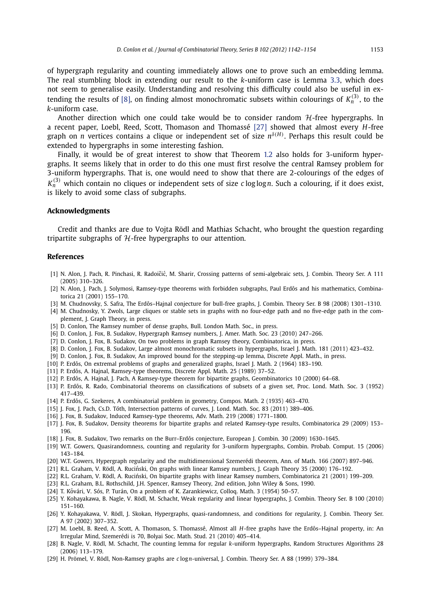<span id="page-11-0"></span>of hypergraph regularity and counting immediately allows one to prove such an embedding lemma. The real stumbling block in extending our result to the *k*-uniform case is Lemma [3.3,](#page-6-0) which does not seem to generalise easily. Understanding and resolving this difficulty could also be useful in extending the results of [8], on finding almost monochromatic subsets within colourings of  $K_n^{(3)}$ , to the *k*-uniform case.

Another direction which one could take would be to consider random  $H$ -free hypergraphs. In a recent paper, Loebl, Reed, Scott, Thomason and Thomassé [27] showed that almost every *H*-free graph on *n* vertices contains a clique or independent set of size *nδ(H)* . Perhaps this result could be extended to hypergraphs in some interesting fashion.

Finally, it would be of great interest to show that Theorem [1.2](#page-3-0) also holds for 3-uniform hypergraphs. It seems likely that in order to do this one must first resolve the central Ramsey problem for 3-uniform hypergraphs. That is, one would need to show that there are 2-colourings of the edges of  $K_n^{(3)}$  which contain no cliques or independent sets of size *c* log logn. Such a colouring, if it does exist, is likely to avoid some class of subgraphs.

#### **Acknowledgments**

Credit and thanks are due to Vojta Rödl and Mathias Schacht, who brought the question regarding tripartite subgraphs of  $H$ -free hypergraphs to our attention.

#### **References**

- [1] N. Alon, J. Pach, R. Pinchasi, R. Radoičić, M. Sharir, Crossing patterns of semi-algebraic sets, J. Combin. Theory Ser. A 111 (2005) 310–326.
- [2] N. Alon, J. Pach, J. Solymosi, Ramsey-type theorems with forbidden subgraphs, Paul Erdős and his mathematics, Combinatorica 21 (2001) 155–170.
- [3] M. Chudnovsky, S. Safra, The Erdős–Hajnal conjecture for bull-free graphs, J. Combin. Theory Ser. B 98 (2008) 1301–1310.
- [4] M. Chudnosky, Y. Zwols, Large cliques or stable sets in graphs with no four-edge path and no five-edge path in the complement, J. Graph Theory, in press.
- [5] D. Conlon, The Ramsey number of dense graphs, Bull. London Math. Soc., in press.
- [6] D. Conlon, J. Fox, B. Sudakov, Hypergraph Ramsey numbers, J. Amer. Math. Soc. 23 (2010) 247–266.
- [7] D. Conlon, J. Fox, B. Sudakov, On two problems in graph Ramsey theory, Combinatorica, in press.
- [8] D. Conlon, J. Fox, B. Sudakov, Large almost monochromatic subsets in hypergraphs, Israel J. Math. 181 (2011) 423–432.
- [9] D. Conlon, J. Fox, B. Sudakov, An improved bound for the stepping-up lemma, Discrete Appl. Math., in press.
- [10] P. Erdős, On extremal problems of graphs and generalized graphs, Israel J. Math. 2 (1964) 183–190.
- [11] P. Erdős, A. Hajnal, Ramsey-type theorems, Discrete Appl. Math. 25 (1989) 37–52.
- [12] P. Erdős, A. Hajnal, J. Pach, A Ramsey-type theorem for bipartite graphs, Geombinatorics 10 (2000) 64–68.
- [13] P. Erdős, R. Rado, Combinatorial theorems on classifications of subsets of a given set, Proc. Lond. Math. Soc. 3 (1952) 417–439.
- [14] P. Erdős, G. Szekeres, A combinatorial problem in geometry, Compos. Math. 2 (1935) 463-470.
- [15] J. Fox, J. Pach, Cs.D. Tóth, Intersection patterns of curves, J. Lond. Math. Soc. 83 (2011) 389-406.
- [16] J. Fox, B. Sudakov, Induced Ramsey-type theorems, Adv. Math. 219 (2008) 1771–1800.
- [17] J. Fox, B. Sudakov, Density theorems for bipartite graphs and related Ramsey-type results, Combinatorica 29 (2009) 153– 196.
- [18] J. Fox, B. Sudakov, Two remarks on the Burr-Erdős conjecture, European J. Combin. 30 (2009) 1630-1645.
- [19] W.T. Gowers, Quasirandomness, counting and regularity for 3-uniform hypergraphs, Combin. Probab. Comput. 15 (2006) 143–184.
- [20] W.T. Gowers, Hypergraph regularity and the multidimensional Szemerédi theorem, Ann. of Math. 166 (2007) 897–946.
- [21] R.L. Graham, V. Rödl, A. Ruciński, On graphs with linear Ramsey numbers, J. Graph Theory 35 (2000) 176-192.
- [22] R.L. Graham, V. Rödl, A. Ruciński, On bipartite graphs with linear Ramsey numbers, Combinatorica 21 (2001) 199-209.
- [23] R.L. Graham, B.L. Rothschild, J.H. Spencer, Ramsey Theory, 2nd edition, John Wiley & Sons, 1990.
- [24] T. Kővári, V. Sós, P. Turán, On a problem of K. Zarankiewicz, Colloq. Math. 3 (1954) 50-57.
- [25] Y. Kohayakawa, B. Nagle, V. Rödl, M. Schacht, Weak regularity and linear hypergraphs, J. Combin. Theory Ser. B 100 (2010) 151–160.
- [26] Y. Kohayakawa, V. Rödl, J. Skokan, Hypergraphs, quasi-randomness, and conditions for regularity, J. Combin. Theory Ser. A 97 (2002) 307–352.
- [27] M. Loebl, B. Reed, A. Scott, A. Thomason, S. Thomassé, Almost all *H*-free graphs have the Erdős–Hajnal property, in: An Irregular Mind, Szemerédi is 70, Bolyai Soc. Math. Stud. 21 (2010) 405–414.
- [28] B. Nagle, V. Rödl, M. Schacht, The counting lemma for regular *k*-uniform hypergraphs, Random Structures Algorithms 28 (2006) 113–179.
- [29] H. Prömel, V. Rödl, Non-Ramsey graphs are *c* log*n*-universal, J. Combin. Theory Ser. A 88 (1999) 379–384.